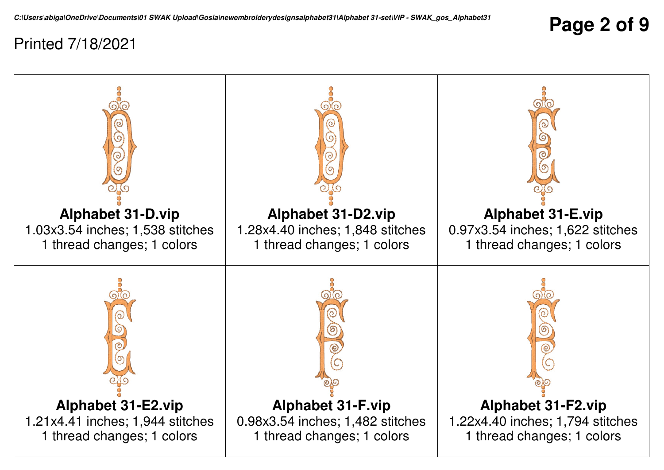**Page 2 of 9**

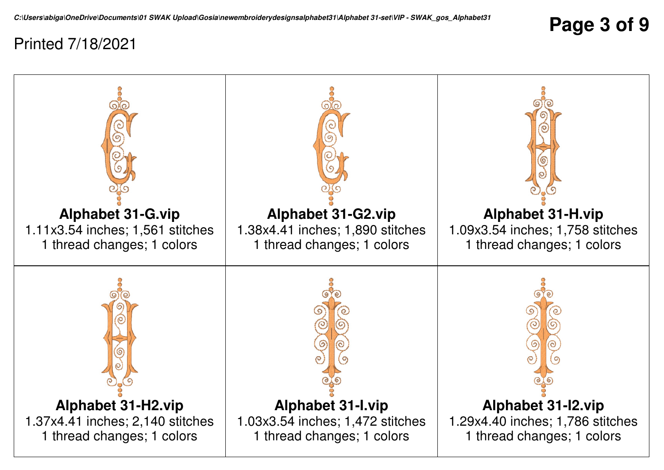**Page 3 of 9**

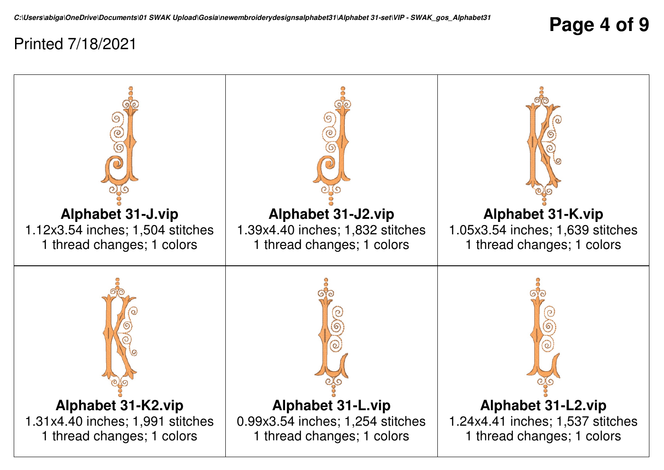**Page 4 of 9**

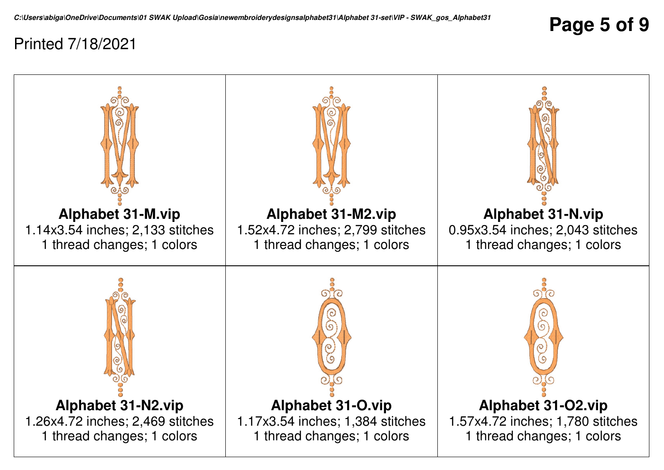**Page 5 of 9**

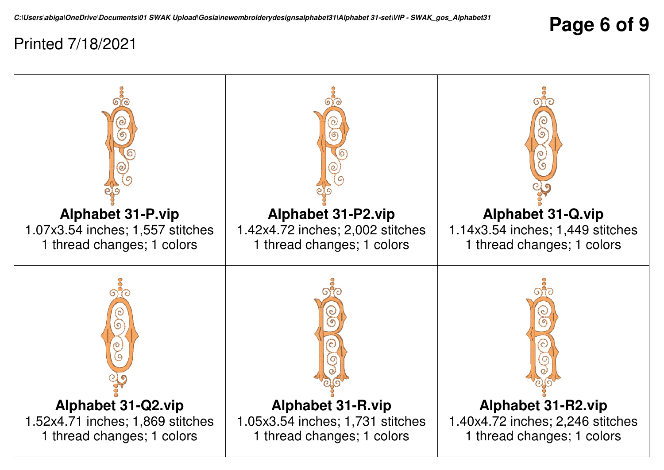## **Page 6 of 9**

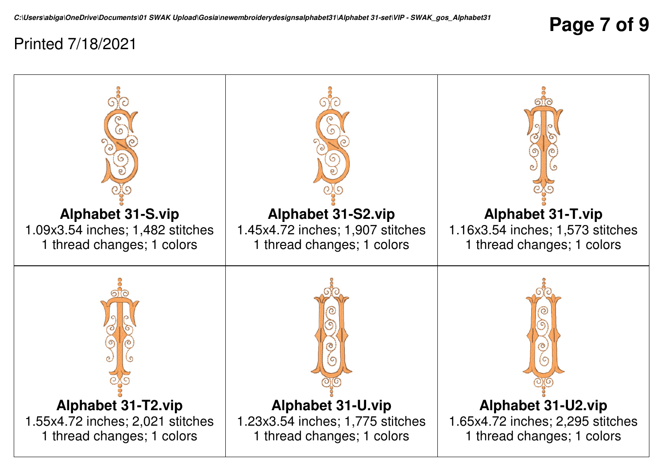**Page 7 of 9**

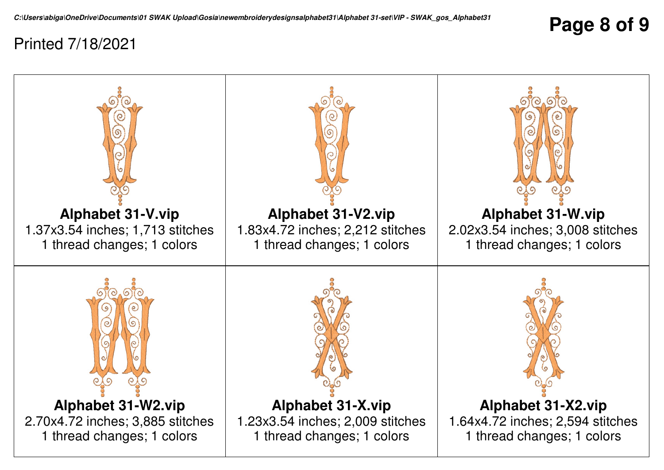## **Page 8 of 9**